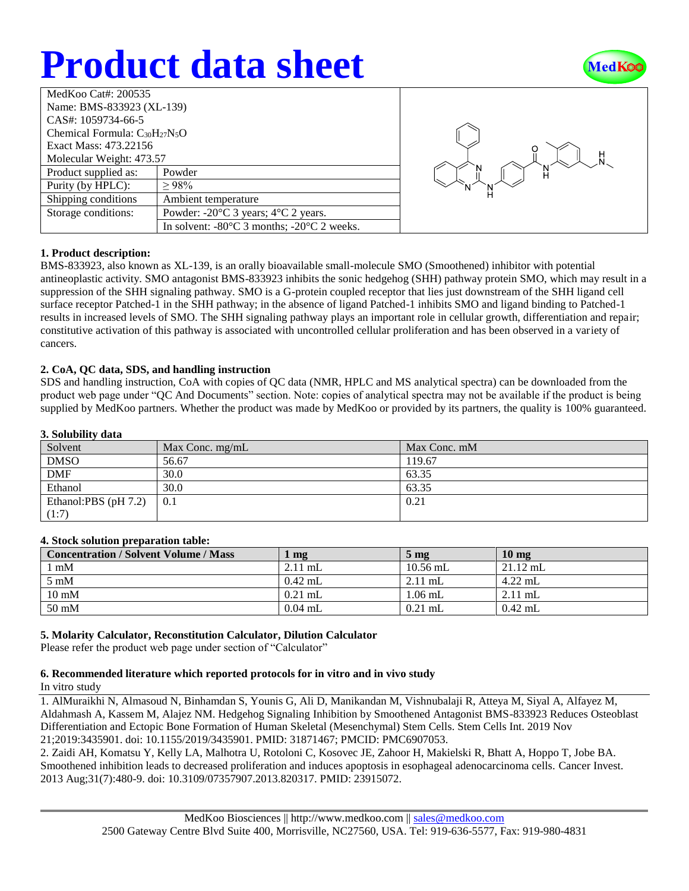# **Product data sheet**



| MedKoo Cat#: 200535                  |                                                                |  |  |  |
|--------------------------------------|----------------------------------------------------------------|--|--|--|
| Name: BMS-833923 (XL-139)            |                                                                |  |  |  |
| CAS#: 1059734-66-5                   |                                                                |  |  |  |
| Chemical Formula: $C_{30}H_{27}N_5O$ |                                                                |  |  |  |
| Exact Mass: 473.22156                |                                                                |  |  |  |
| Molecular Weight: 473.57             |                                                                |  |  |  |
| Product supplied as:                 | Powder                                                         |  |  |  |
| Purity (by HPLC):                    | >98%                                                           |  |  |  |
| Shipping conditions                  | Ambient temperature                                            |  |  |  |
| Storage conditions:                  | Powder: $-20^{\circ}$ C 3 years; $4^{\circ}$ C 2 years.        |  |  |  |
|                                      | In solvent: $-80^{\circ}$ C 3 months; $-20^{\circ}$ C 2 weeks. |  |  |  |



# **1. Product description:**

BMS-833923, also known as XL-139, is an orally bioavailable small-molecule SMO (Smoothened) inhibitor with potential antineoplastic activity. SMO antagonist BMS-833923 inhibits the sonic hedgehog (SHH) pathway protein SMO, which may result in a suppression of the SHH signaling pathway. SMO is a G-protein coupled receptor that lies just downstream of the SHH ligand cell surface receptor Patched-1 in the SHH pathway; in the absence of ligand Patched-1 inhibits SMO and ligand binding to Patched-1 results in increased levels of SMO. The SHH signaling pathway plays an important role in cellular growth, differentiation and repair; constitutive activation of this pathway is associated with uncontrolled cellular proliferation and has been observed in a variety of cancers.

### **2. CoA, QC data, SDS, and handling instruction**

SDS and handling instruction, CoA with copies of QC data (NMR, HPLC and MS analytical spectra) can be downloaded from the product web page under "QC And Documents" section. Note: copies of analytical spectra may not be available if the product is being supplied by MedKoo partners. Whether the product was made by MedKoo or provided by its partners, the quality is 100% guaranteed.

#### **3. Solubility data**

| $\ddot{\mathbf{v}}$ . $\ddot{\mathbf{v}}$ |                   |              |  |  |
|-------------------------------------------|-------------------|--------------|--|--|
| Solvent                                   | Max Conc. $mg/mL$ | Max Conc. mM |  |  |
| <b>DMSO</b>                               | 56.67             | 119.67       |  |  |
| <b>DMF</b>                                | 30.0              | 63.35        |  |  |
| Ethanol                                   | 30.0              | 63.35        |  |  |
| Ethanol:PBS (pH 7.2)                      | 0.1               | 0.21         |  |  |
| (1:7)                                     |                   |              |  |  |

#### **4. Stock solution preparation table:**

| <b>Concentration / Solvent Volume / Mass</b> | mg        | $5 \text{ mg}$ | $10 \text{ mg}$ |
|----------------------------------------------|-----------|----------------|-----------------|
| mM                                           | $2.11$ mL | $10.56$ mL     | $21.12$ mL      |
| $5 \text{ mM}$                               | $0.42$ mL | $2.11$ mL      | $4.22$ mL       |
| $10 \text{ mM}$                              | $0.21$ mL | $1.06$ mL      | $2.11$ mL       |
| $50 \text{ mM}$                              | $0.04$ mL | $0.21$ mL      | $0.42$ mL       |

# **5. Molarity Calculator, Reconstitution Calculator, Dilution Calculator**

Please refer the product web page under section of "Calculator"

# **6. Recommended literature which reported protocols for in vitro and in vivo study**

In vitro study

1. AlMuraikhi N, Almasoud N, Binhamdan S, Younis G, Ali D, Manikandan M, Vishnubalaji R, Atteya M, Siyal A, Alfayez M, Aldahmash A, Kassem M, Alajez NM. Hedgehog Signaling Inhibition by Smoothened Antagonist BMS-833923 Reduces Osteoblast Differentiation and Ectopic Bone Formation of Human Skeletal (Mesenchymal) Stem Cells. Stem Cells Int. 2019 Nov 21;2019:3435901. doi: 10.1155/2019/3435901. PMID: 31871467; PMCID: PMC6907053.

2. Zaidi AH, Komatsu Y, Kelly LA, Malhotra U, Rotoloni C, Kosovec JE, Zahoor H, Makielski R, Bhatt A, Hoppo T, Jobe BA. Smoothened inhibition leads to decreased proliferation and induces apoptosis in esophageal adenocarcinoma cells. Cancer Invest. 2013 Aug;31(7):480-9. doi: 10.3109/07357907.2013.820317. PMID: 23915072.